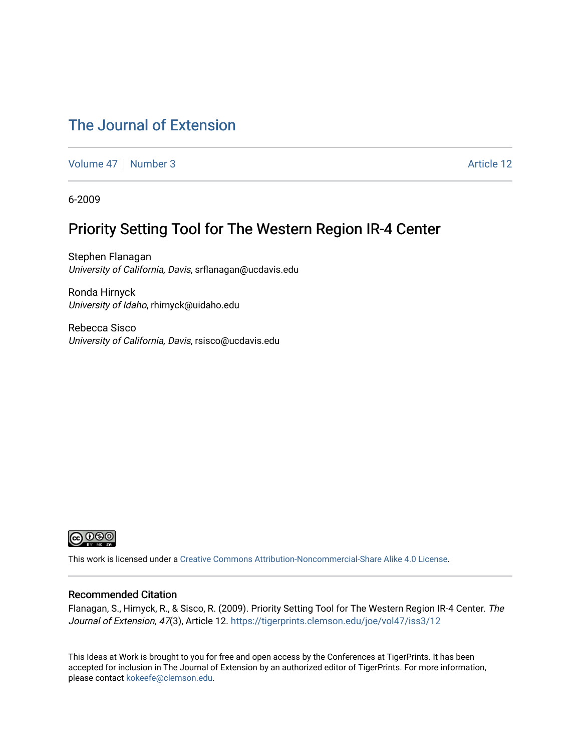### [The Journal of Extension](https://tigerprints.clemson.edu/joe)

[Volume 47](https://tigerprints.clemson.edu/joe/vol47) | [Number 3](https://tigerprints.clemson.edu/joe/vol47/iss3) Article 12

6-2009

### Priority Setting Tool for The Western Region IR-4 Center

Stephen Flanagan University of California, Davis, srflanagan@ucdavis.edu

Ronda Hirnyck University of Idaho, rhirnyck@uidaho.edu

Rebecca Sisco University of California, Davis, rsisco@ucdavis.edu



This work is licensed under a [Creative Commons Attribution-Noncommercial-Share Alike 4.0 License.](https://creativecommons.org/licenses/by-nc-sa/4.0/)

#### Recommended Citation

Flanagan, S., Hirnyck, R., & Sisco, R. (2009). Priority Setting Tool for The Western Region IR-4 Center. The Journal of Extension, 47(3), Article 12. https://tigerprints.clemson.edu/joe/vol47/iss3/12

This Ideas at Work is brought to you for free and open access by the Conferences at TigerPrints. It has been accepted for inclusion in The Journal of Extension by an authorized editor of TigerPrints. For more information, please contact [kokeefe@clemson.edu](mailto:kokeefe@clemson.edu).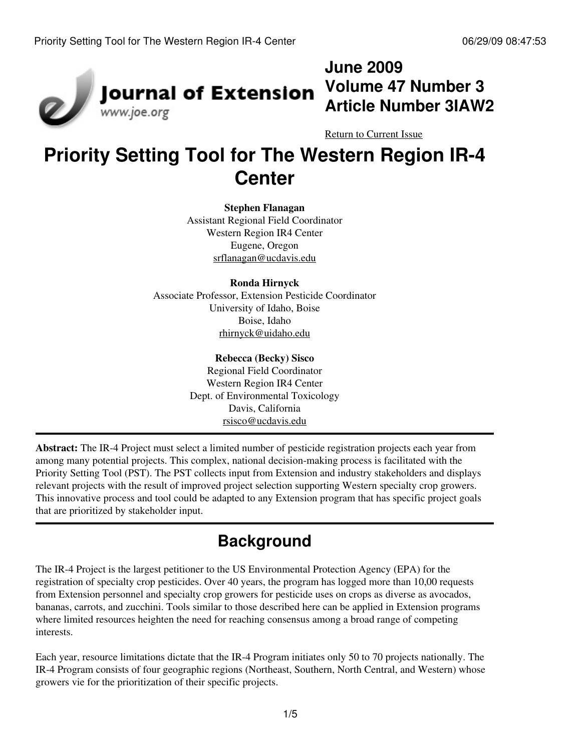

## **June 2009 Volume 47 Number 3 Article Number 3IAW2**

[Return to Current Issue](http://www.joe.org:80/joe/2009june/)

# **Priority Setting Tool for The Western Region IR-4 Center**

**Stephen Flanagan**

Assistant Regional Field Coordinator Western Region IR4 Center Eugene, Oregon [srflanagan@ucdavis.edu](mailto:srflanagan@ucdavis.edu)

#### **Ronda Hirnyck**

Associate Professor, Extension Pesticide Coordinator University of Idaho, Boise Boise, Idaho [rhirnyck@uidaho.edu](mailto:rhirnyck@uidaho.edu)

#### **Rebecca (Becky) Sisco**

Regional Field Coordinator Western Region IR4 Center Dept. of Environmental Toxicology Davis, California [rsisco@ucdavis.edu](mailto:rsisco@ucdavis.edu)

**Abstract:** The IR-4 Project must select a limited number of pesticide registration projects each year from among many potential projects. This complex, national decision-making process is facilitated with the Priority Setting Tool (PST). The PST collects input from Extension and industry stakeholders and displays relevant projects with the result of improved project selection supporting Western specialty crop growers. This innovative process and tool could be adapted to any Extension program that has specific project goals that are prioritized by stakeholder input.

## **Background**

The IR-4 Project is the largest petitioner to the US Environmental Protection Agency (EPA) for the registration of specialty crop pesticides. Over 40 years, the program has logged more than 10,00 requests from Extension personnel and specialty crop growers for pesticide uses on crops as diverse as avocados, bananas, carrots, and zucchini. Tools similar to those described here can be applied in Extension programs where limited resources heighten the need for reaching consensus among a broad range of competing interests.

Each year, resource limitations dictate that the IR-4 Program initiates only 50 to 70 projects nationally. The IR-4 Program consists of four geographic regions (Northeast, Southern, North Central, and Western) whose growers vie for the prioritization of their specific projects.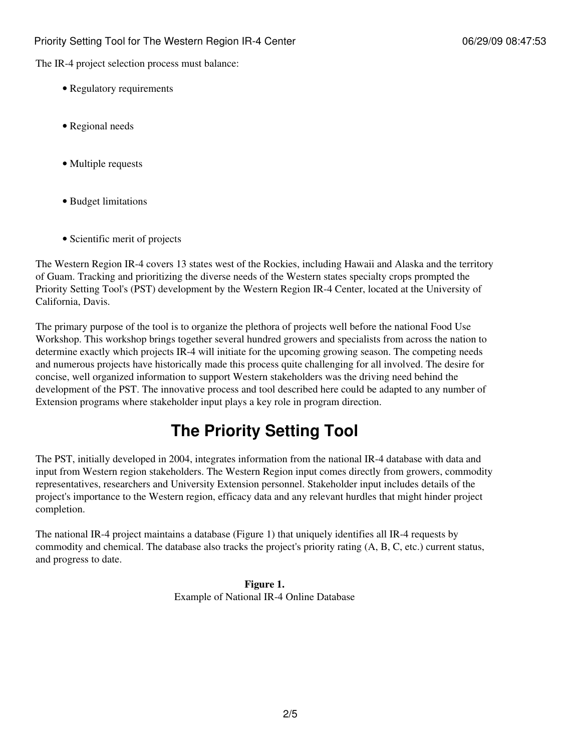The IR-4 project selection process must balance:

- Regulatory requirements
- Regional needs
- Multiple requests
- Budget limitations
- Scientific merit of projects

The Western Region IR-4 covers 13 states west of the Rockies, including Hawaii and Alaska and the territory of Guam. Tracking and prioritizing the diverse needs of the Western states specialty crops prompted the Priority Setting Tool's (PST) development by the Western Region IR-4 Center, located at the University of California, Davis.

The primary purpose of the tool is to organize the plethora of projects well before the national Food Use Workshop. This workshop brings together several hundred growers and specialists from across the nation to determine exactly which projects IR-4 will initiate for the upcoming growing season. The competing needs and numerous projects have historically made this process quite challenging for all involved. The desire for concise, well organized information to support Western stakeholders was the driving need behind the development of the PST. The innovative process and tool described here could be adapted to any number of Extension programs where stakeholder input plays a key role in program direction.

## **The Priority Setting Tool**

The PST, initially developed in 2004, integrates information from the national IR-4 database with data and input from Western region stakeholders. The Western Region input comes directly from growers, commodity representatives, researchers and University Extension personnel. Stakeholder input includes details of the project's importance to the Western region, efficacy data and any relevant hurdles that might hinder project completion.

The national IR-4 project maintains a database (Figure 1) that uniquely identifies all IR-4 requests by commodity and chemical. The database also tracks the project's priority rating (A, B, C, etc.) current status, and progress to date.

> **Figure 1.** Example of National IR-4 Online Database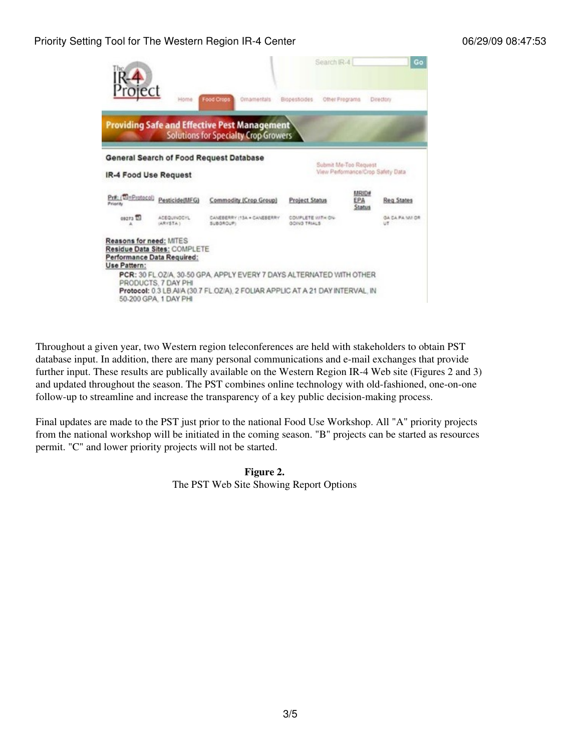### Priority Setting Tool for The Western Region IR-4 Center 06/29/09 08:47:53

|                                                                                                       |                                             |                                                                                                                                                        | Search IR-4                              |                                   | Go                           |
|-------------------------------------------------------------------------------------------------------|---------------------------------------------|--------------------------------------------------------------------------------------------------------------------------------------------------------|------------------------------------------|-----------------------------------|------------------------------|
| Project                                                                                               | Home                                        | Food Crops<br>Ornamentals                                                                                                                              | BiopesScides<br>Other Pregrams           |                                   | Directory                    |
|                                                                                                       |                                             | <b>Providing Safe and Effective Pest Management</b><br><b>Solutions for Specialty Crop Growers</b>                                                     |                                          |                                   |                              |
|                                                                                                       |                                             | <b>General Search of Food Request Database</b>                                                                                                         |                                          | Submit Me-Too Request             |                              |
| IR-4 Food Use Request                                                                                 |                                             |                                                                                                                                                        |                                          | View Performance/Crop Safety Data |                              |
| Pr#: (TH=Protocol)<br>Priority                                                                        | Pesticide(MFG)                              | Commodity (Crop Group)                                                                                                                                 | <b>Project Status</b>                    | MRID#<br>EPA<br>Status            | Reg States                   |
| 09273                                                                                                 | <b>ACEQUINDEYL</b><br>GARYSTA 1             | CANEBERRY (13A . CANEBERRY<br>SUBGROUP)                                                                                                                | COMPLETE WITH ON-<br><b>GOING TRIALS</b> |                                   | <b>GA CA PA NU CR</b><br>UT. |
| Reasons for need: MITES<br>Residue Data Sites: COMPLETE<br>Performance Data Required:<br>Use Pattern: | PRODUCTS, 7 DAY PHI<br>50-200 GPA 1 DAY PHI | PCR: 30 FL.OZ/A. 30-50 GPA. APPLY EVERY 7 DAYS ALTERNATED WITH OTHER<br>Protocol: 0.3 LB AI/A (30.7 FL.OZ/A), 2 FOLIAR APPLIC AT A 21 DAY INTERVAL, IN |                                          |                                   |                              |

Throughout a given year, two Western region teleconferences are held with stakeholders to obtain PST database input. In addition, there are many personal communications and e-mail exchanges that provide further input. These results are publically available on the Western Region IR-4 Web site (Figures 2 and 3) and updated throughout the season. The PST combines online technology with old-fashioned, one-on-one follow-up to streamline and increase the transparency of a key public decision-making process.

Final updates are made to the PST just prior to the national Food Use Workshop. All "A" priority projects from the national workshop will be initiated in the coming season. "B" projects can be started as resources permit. "C" and lower priority projects will not be started.

> **Figure 2.** The PST Web Site Showing Report Options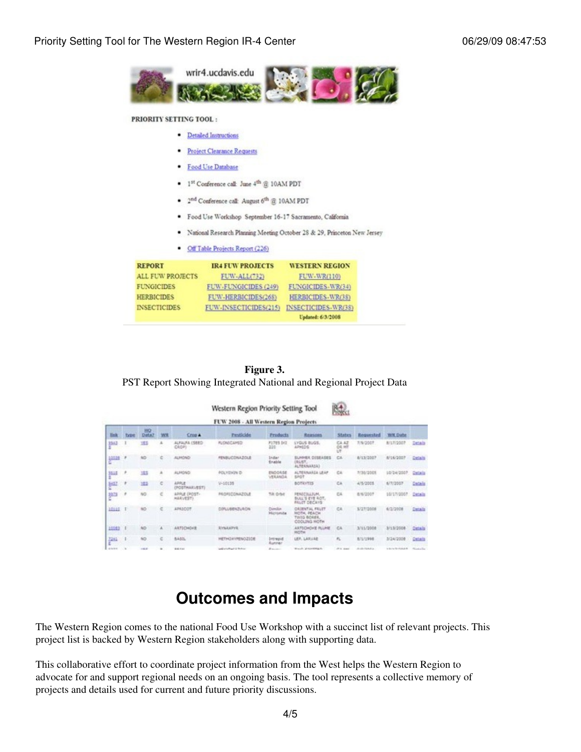

#### PRIORITY SETTING TOOL:

|  | · Detailed Instructions |
|--|-------------------------|
|  |                         |

- Project Clearance Requests
- · Food Use Database
- 
- <sup>2nd</sup> Conference call: August 6<sup>th</sup> @ 10AM PDT
- · Food Use Workshop September 16-17 Sacramento, California
- National Research Planning Meeting October 28 & 29, Princeton New Jersey
- Off Table Projects Report (226)

| <b>REPORT</b>       | <b>IR4 FUW PROJECTS</b> | <b>WESTERN REGION</b> |  |  |
|---------------------|-------------------------|-----------------------|--|--|
| ALL FUW PROJECTS    | FUW-ALL(732)            | FUW-WR(110)           |  |  |
| <b>FUNGICIDES</b>   | FUW-FUNGICIDES (249)    | FUNGICIDES-WR(34)     |  |  |
| <b>HERBICIDES</b>   | FUW-HERBICIDES(268)     | HERBICIDES-WR(38)     |  |  |
| <b>INSECTICIDES</b> | FUW-INSECTICIDES(215)   | INSECTICIDES-WR(38)   |  |  |
|                     |                         | Undated: 6/3/2008     |  |  |

**Figure 3.** PST Report Showing Integrated National and Regional Project Data

| <b>SAL</b><br>Western Region Priority Setting Tool<br>FUW 2008 - All Western Region Projects |              |                          |           |                               |                              |                               |                                                                              |                             |                        |                                  |                   |
|----------------------------------------------------------------------------------------------|--------------|--------------------------|-----------|-------------------------------|------------------------------|-------------------------------|------------------------------------------------------------------------------|-----------------------------|------------------------|----------------------------------|-------------------|
| m                                                                                            | <b>Tytel</b> | HO <sub>1</sub><br>Data? | <b>WH</b> | <b>Cross A</b>                | Pesticide                    | <b>Products</b>               | Reasons                                                                      | <b>States</b>               | Requested              | <b>WK Date</b>                   |                   |
| 3362                                                                                         |              | 坦                        |           | GBRI AUGUST<br>CAOP)          | <b>FLONICAMED</b>            | <b>F1785 DG</b><br>220        | LYGUS BUGS.<br>APHIDS                                                        | C4.42<br><b>DE MT</b><br>UT | 1/9/2007               | B/17/2007                        | Details           |
| 10328<br>÷                                                                                   |              |                          |           | ALMOND                        | <b>FENELICONATOLE</b>        | Didar:<br>Enable              | SUMMER DISEASES<br>DUST.<br>ALTERNARIA)                                      | CA                          | 8/13/2007              | A/16/2007                        | Details           |
| 3515                                                                                         |              | 183                      | ۰         | <b>ALMONO</b>                 | <b>POLYDUN D</b>             | EN004.58<br>VERANDA           | ALTERNAKEA LEAP<br>sigt                                                      | CA                          | <b>RI30/2001</b>       | 10/24/2007                       | <b>Carl Carl</b>  |
| 5432                                                                                         |              | <b>hill</b>              | ć         | <b>ARRUP</b><br>(POSTMARLEST) | 9-10135                      |                               | BOTRYTIS                                                                     | CA                          | 4/5/2005               | 6/7/2007                         | Datada            |
| 放出                                                                                           | ×            | NG.                      | ċ         | AFFLE (POST-<br>HARVEST)      | <b><i>PROFICENATIONS</i></b> | <b>Till Orbit</b>             | <b>FERECILLIUM</b> ,<br>BULL'S EYE ROT.<br>FRUIT DECAYS                      | <b>CK</b>                   | 8/6/2007               | 10/17/2007                       | <b>Catalo</b>     |
| 10110                                                                                        |              | NO <sub>1</sub>          |           | APAILOR                       | CONJUSENZIJACNI              | Director.<br><b>Hicromite</b> | <b>ORIENTAL FRUET</b><br><b>HOTH, ISLICH</b><br>TING BOASK.<br>CODLING HIGHH | CA                          | 5/27/2008              | 6/2/2008                         | Details           |
| 15583                                                                                        |              | NO <sub>1</sub>          | A         | ARTICHOVE                     | <b><i>RYNAXPVR</i></b>       |                               | ARTICHOVE FLUNE<br><b>MOTH</b>                                               | CA                          | 3/11/2008              | 3/13/2008                        | Catalo            |
| 7241                                                                                         |              | <b>NO</b>                | c         | BASIL                         | HETHOXYPENOZIDE              | Intrepid<br>Runner            | LER, LARVAR                                                                  | $r_{\rm L}$                 | B/L/1998               | 3/24/2008                        | Dataca            |
| de la decir                                                                                  |              | $-0.001$                 | $\sim$    | <b>WARRANT</b>                | Lodinated Late & Modern      | ALC: YES                      | West also allow the state as the                                             | and the company's con-      | All collections of the | the day of the world and side of | Contractor of the |

### **Outcomes and Impacts**

The Western Region comes to the national Food Use Workshop with a succinct list of relevant projects. This project list is backed by Western Region stakeholders along with supporting data.

This collaborative effort to coordinate project information from the West helps the Western Region to advocate for and support regional needs on an ongoing basis. The tool represents a collective memory of projects and details used for current and future priority discussions.